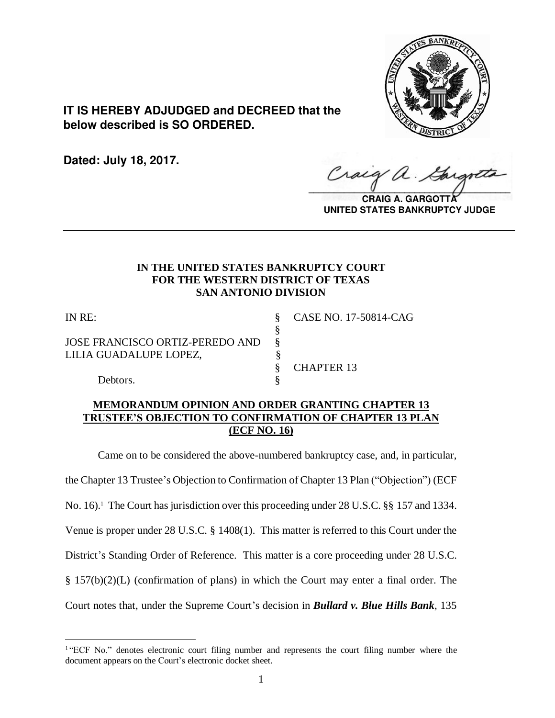

**IT IS HEREBY ADJUDGED and DECREED that the below described is SO ORDERED.**

**Dated: July 18, 2017.**

Craig  $\sqrt{2}$ 

**CRAIG A. GARGOTT UNITED STATES BANKRUPTCY JUDGE**

# **IN THE UNITED STATES BANKRUPTCY COURT FOR THE WESTERN DISTRICT OF TEXAS SAN ANTONIO DIVISION**

§

**\_\_\_\_\_\_\_\_\_\_\_\_\_\_\_\_\_\_\_\_\_\_\_\_\_\_\_\_\_\_\_\_\_\_\_\_\_\_\_\_\_\_\_\_\_\_\_\_\_\_\_\_\_\_\_\_\_\_\_\_\_\_\_\_**

 $\overline{a}$ 

JOSE FRANCISCO ORTIZ-PEREDO AND § LILIA GUADALUPE LOPEZ, §

IN RE: § CASE NO. 17-50814-CAG

§ CHAPTER 13

Debtors.

# **MEMORANDUM OPINION AND ORDER GRANTING CHAPTER 13 TRUSTEE'S OBJECTION TO CONFIRMATION OF CHAPTER 13 PLAN (ECF NO. 16)**

Came on to be considered the above-numbered bankruptcy case, and, in particular, the Chapter 13 Trustee's Objection to Confirmation of Chapter 13 Plan ("Objection") (ECF No. 16).<sup>1</sup> The Court has jurisdiction over this proceeding under 28 U.S.C. §§ 157 and 1334. Venue is proper under 28 U.S.C. § 1408(1). This matter is referred to this Court under the District's Standing Order of Reference. This matter is a core proceeding under 28 U.S.C. § 157(b)(2)(L) (confirmation of plans) in which the Court may enter a final order. The Court notes that, under the Supreme Court's decision in *Bullard v. Blue Hills Bank*, 135

<sup>&</sup>lt;sup>1</sup>"ECF No." denotes electronic court filing number and represents the court filing number where the document appears on the Court's electronic docket sheet.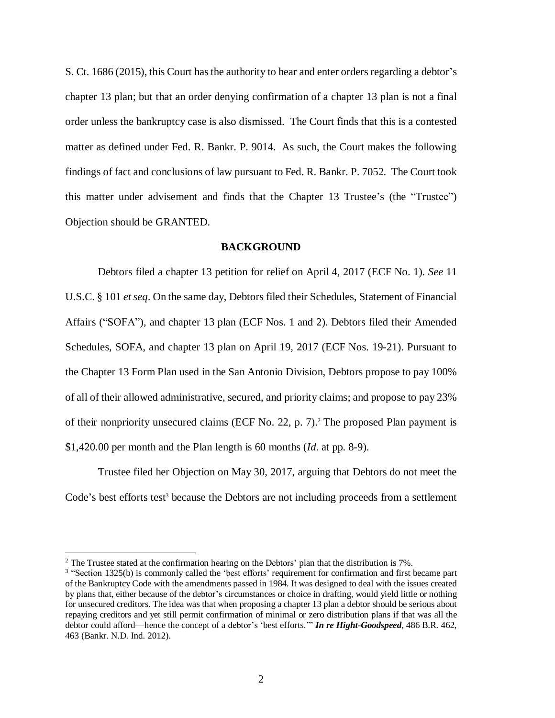S. Ct. 1686 (2015), this Court has the authority to hear and enter orders regarding a debtor's chapter 13 plan; but that an order denying confirmation of a chapter 13 plan is not a final order unless the bankruptcy case is also dismissed. The Court finds that this is a contested matter as defined under Fed. R. Bankr. P. 9014. As such, the Court makes the following findings of fact and conclusions of law pursuant to Fed. R. Bankr. P. 7052. The Court took this matter under advisement and finds that the Chapter 13 Trustee's (the "Trustee") Objection should be GRANTED.

#### **BACKGROUND**

Debtors filed a chapter 13 petition for relief on April 4, 2017 (ECF No. 1). *See* 11 U.S.C. § 101 *et seq*. On the same day, Debtors filed their Schedules, Statement of Financial Affairs ("SOFA"), and chapter 13 plan (ECF Nos. 1 and 2). Debtors filed their Amended Schedules, SOFA, and chapter 13 plan on April 19, 2017 (ECF Nos. 19-21). Pursuant to the Chapter 13 Form Plan used in the San Antonio Division, Debtors propose to pay 100% of all of their allowed administrative, secured, and priority claims; and propose to pay 23% of their nonpriority unsecured claims (ECF No. 22, p. 7).<sup>2</sup> The proposed Plan payment is \$1,420.00 per month and the Plan length is 60 months (*Id*. at pp. 8-9).

Trustee filed her Objection on May 30, 2017, arguing that Debtors do not meet the Code's best efforts test<sup>3</sup> because the Debtors are not including proceeds from a settlement

<sup>&</sup>lt;sup>2</sup> The Trustee stated at the confirmation hearing on the Debtors' plan that the distribution is 7%.

<sup>&</sup>lt;sup>3</sup> "Section 1325(b) is commonly called the 'best efforts' requirement for confirmation and first became part of the Bankruptcy Code with the amendments passed in 1984. It was designed to deal with the issues created by plans that, either because of the debtor's circumstances or choice in drafting, would yield little or nothing for unsecured creditors. The idea was that when proposing a chapter 13 plan a debtor should be serious about repaying creditors and yet still permit confirmation of minimal or zero distribution plans if that was all the debtor could afford—hence the concept of a debtor's 'best efforts.'" *In re Hight-Goodspeed*, 486 B.R. 462, 463 (Bankr. N.D. Ind. 2012).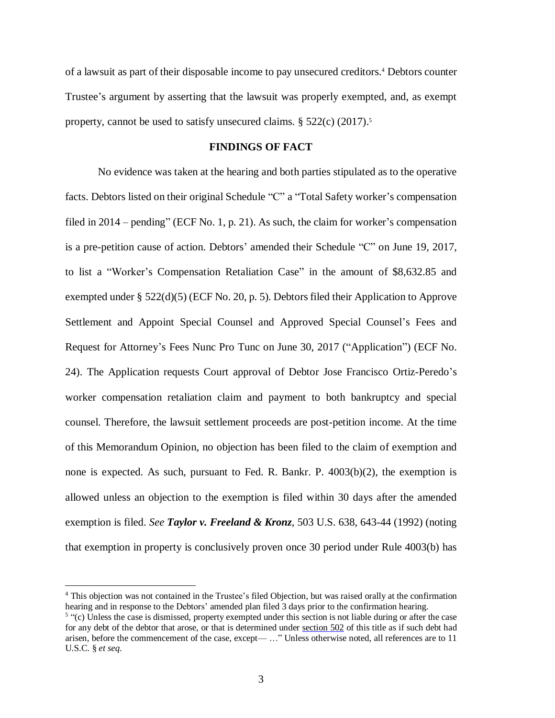of a lawsuit as part of their disposable income to pay unsecured creditors.<sup>4</sup> Debtors counter Trustee's argument by asserting that the lawsuit was properly exempted, and, as exempt property, cannot be used to satisfy unsecured claims. § 522(c) (2017). 5

### **FINDINGS OF FACT**

No evidence was taken at the hearing and both parties stipulated as to the operative facts. Debtors listed on their original Schedule "C" a "Total Safety worker's compensation filed in 2014 – pending" (ECF No. 1, p. 21). As such, the claim for worker's compensation is a pre-petition cause of action. Debtors' amended their Schedule "C" on June 19, 2017, to list a "Worker's Compensation Retaliation Case" in the amount of \$8,632.85 and exempted under § 522(d)(5) (ECF No. 20, p. 5). Debtors filed their Application to Approve Settlement and Appoint Special Counsel and Approved Special Counsel's Fees and Request for Attorney's Fees Nunc Pro Tunc on June 30, 2017 ("Application") (ECF No. 24). The Application requests Court approval of Debtor Jose Francisco Ortiz-Peredo's worker compensation retaliation claim and payment to both bankruptcy and special counsel. Therefore, the lawsuit settlement proceeds are post-petition income. At the time of this Memorandum Opinion, no objection has been filed to the claim of exemption and none is expected. As such, pursuant to Fed. R. Bankr. P. 4003(b)(2), the exemption is allowed unless an objection to the exemption is filed within 30 days after the amended exemption is filed. *See Taylor v. Freeland & Kronz*, 503 U.S. 638, 643-44 (1992) (noting that exemption in property is conclusively proven once 30 period under Rule 4003(b) has

<sup>4</sup> This objection was not contained in the Trustee's filed Objection, but was raised orally at the confirmation hearing and in response to the Debtors' amended plan filed 3 days prior to the confirmation hearing.

 $5$  "(c) Unless the case is dismissed, property exempted under this section is not liable during or after the case for any debt of the debtor that arose, or that is determined under [section](https://1.next.westlaw.com/Link/Document/FullText?findType=L&pubNum=1000546&cite=11USCAS502&originatingDoc=N11B19030DB0F11E587CCD9C0AD14B0D0&refType=LQ&originationContext=document&transitionType=DocumentItem&contextData=%2528sc.UserEnteredCitation%2529) 502 of this title as if such debt had arisen, before the commencement of the case, except— …" Unless otherwise noted, all references are to 11 U.S.C. § *et seq*.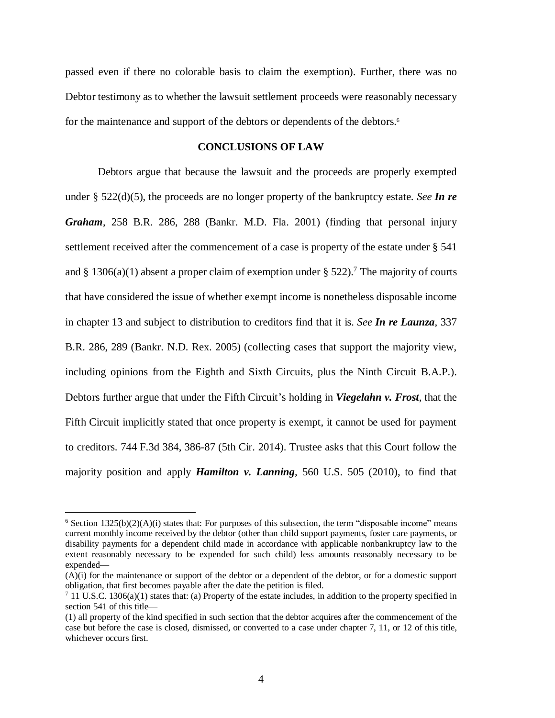passed even if there no colorable basis to claim the exemption). Further, there was no Debtor testimony as to whether the lawsuit settlement proceeds were reasonably necessary for the maintenance and support of the debtors or dependents of the debtors.<sup>6</sup>

#### **CONCLUSIONS OF LAW**

Debtors argue that because the lawsuit and the proceeds are properly exempted under § 522(d)(5), the proceeds are no longer property of the bankruptcy estate. *See In re Graham*, 258 B.R. 286, 288 (Bankr. M.D. Fla. 2001) (finding that personal injury settlement received after the commencement of a case is property of the estate under § 541 and § 1306(a)(1) absent a proper claim of exemption under § 522).<sup>7</sup> The majority of courts that have considered the issue of whether exempt income is nonetheless disposable income in chapter 13 and subject to distribution to creditors find that it is. *See In re Launza*, 337 B.R. 286, 289 (Bankr. N.D. Rex. 2005) (collecting cases that support the majority view, including opinions from the Eighth and Sixth Circuits, plus the Ninth Circuit B.A.P.). Debtors further argue that under the Fifth Circuit's holding in *Viegelahn v. Frost*, that the Fifth Circuit implicitly stated that once property is exempt, it cannot be used for payment to creditors. 744 F.3d 384, 386-87 (5th Cir. 2014). Trustee asks that this Court follow the majority position and apply *Hamilton v. Lanning*, 560 U.S. 505 (2010), to find that

 $6$  Section 1325(b)(2)(A)(i) states that: For purposes of this subsection, the term "disposable income" means current monthly income received by the debtor (other than child support payments, foster care payments, or disability payments for a dependent child made in accordance with applicable nonbankruptcy law to the extent reasonably necessary to be expended for such child) less amounts reasonably necessary to be expended—

<sup>(</sup>A)(i) for the maintenance or support of the debtor or a dependent of the debtor, or for a domestic support obligation, that first becomes payable after the date the petition is filed.

<sup>&</sup>lt;sup>7</sup> 11 U.S.C. 1306(a)(1) states that: (a) Property of the estate includes, in addition to the property specified in [section](https://1.next.westlaw.com/Link/Document/FullText?findType=L&pubNum=1000546&cite=11USCAS541&originatingDoc=N37D41070A06711D8A63DAA9EBCE8FE5A&refType=LQ&originationContext=document&transitionType=DocumentItem&contextData=%28sc.UserEnteredCitation%29) 541 of this title—

<sup>(1)</sup> all property of the kind specified in such section that the debtor acquires after the commencement of the case but before the case is closed, dismissed, or converted to a case under chapter 7, 11, or 12 of this title, whichever occurs first.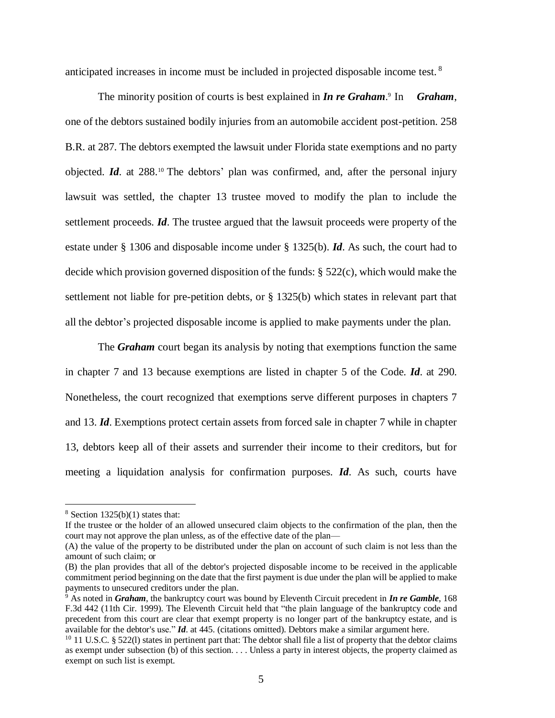anticipated increases in income must be included in projected disposable income test. <sup>8</sup>

The minority position of courts is best explained in *In re Graham*. 9 In *Graham*, one of the debtors sustained bodily injuries from an automobile accident post-petition. 258 B.R. at 287. The debtors exempted the lawsuit under Florida state exemptions and no party objected. *Id*. at 288.<sup>10</sup> The debtors' plan was confirmed, and, after the personal injury lawsuit was settled, the chapter 13 trustee moved to modify the plan to include the settlement proceeds. *Id*. The trustee argued that the lawsuit proceeds were property of the estate under § 1306 and disposable income under § 1325(b). *Id*. As such, the court had to decide which provision governed disposition of the funds: § 522(c), which would make the settlement not liable for pre-petition debts, or § 1325(b) which states in relevant part that all the debtor's projected disposable income is applied to make payments under the plan.

The *Graham* court began its analysis by noting that exemptions function the same in chapter 7 and 13 because exemptions are listed in chapter 5 of the Code. *Id*. at 290. Nonetheless, the court recognized that exemptions serve different purposes in chapters 7 and 13. *Id*. Exemptions protect certain assets from forced sale in chapter 7 while in chapter 13, debtors keep all of their assets and surrender their income to their creditors, but for meeting a liquidation analysis for confirmation purposes. *Id*. As such, courts have

 $8$  Section 1325(b)(1) states that:

If the trustee or the holder of an allowed unsecured claim objects to the confirmation of the plan, then the court may not approve the plan unless, as of the effective date of the plan—

<sup>(</sup>A) the value of the property to be distributed under the plan on account of such claim is not less than the amount of such claim; or

<sup>(</sup>B) the plan provides that all of the debtor's projected disposable income to be received in the applicable commitment period beginning on the date that the first payment is due under the plan will be applied to make payments to unsecured creditors under the plan.

<sup>9</sup> As noted in *Graham*, the bankruptcy court was bound by Eleventh Circuit precedent in *In re Gamble*, 168 F.3d 442 (11th Cir. 1999). The Eleventh Circuit held that "the plain language of the bankruptcy code and precedent from this court are clear that exempt property is no longer part of the bankruptcy estate, and is available for the debtor's use." *Id*. at 445. (citations omitted). Debtors make a similar argument here.

 $10$  11 U.S.C. § 522(1) states in pertinent part that: The debtor shall file a list of property that the debtor claims as exempt under subsection (b) of this section. . . . Unless a party in interest objects, the property claimed as exempt on such list is exempt.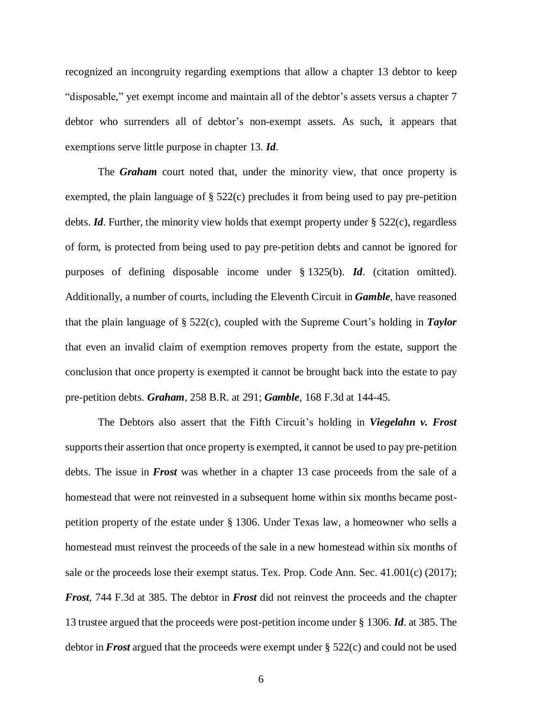recognized an incongruity regarding exemptions that allow a chapter 13 debtor to keep "disposable," yet exempt income and maintain all of the debtor's assets versus a chapter 7 debtor who surrenders all of debtor's non-exempt assets. As such, it appears that exemptions serve little purpose in chapter 13. *Id*.

The *Graham* court noted that, under the minority view, that once property is exempted, the plain language of § 522(c) precludes it from being used to pay pre-petition debts. *Id*. Further, the minority view holds that exempt property under § 522(c), regardless of form, is protected from being used to pay pre-petition debts and cannot be ignored for purposes of defining disposable income under § 1325(b). *Id*. (citation omitted). Additionally, a number of courts, including the Eleventh Circuit in *Gamble*, have reasoned that the plain language of § 522(c), coupled with the Supreme Court's holding in *Taylor* that even an invalid claim of exemption removes property from the estate, support the conclusion that once property is exempted it cannot be brought back into the estate to pay pre-petition debts. *Graham*, 258 B.R. at 291; *Gamble*, 168 F.3d at 144-45.

The Debtors also assert that the Fifth Circuit's holding in *Viegelahn v. Frost* supports their assertion that once property is exempted, it cannot be used to pay pre-petition debts. The issue in *Frost* was whether in a chapter 13 case proceeds from the sale of a homestead that were not reinvested in a subsequent home within six months became postpetition property of the estate under § 1306. Under Texas law, a homeowner who sells a homestead must reinvest the proceeds of the sale in a new homestead within six months of sale or the proceeds lose their exempt status. Tex. Prop. Code Ann. Sec. 41.001(c) (2017); *Frost*, 744 F.3d at 385. The debtor in *Frost* did not reinvest the proceeds and the chapter 13 trustee argued that the proceeds were post-petition income under § 1306. *Id*. at 385. The debtor in *Frost* argued that the proceeds were exempt under § 522(c) and could not be used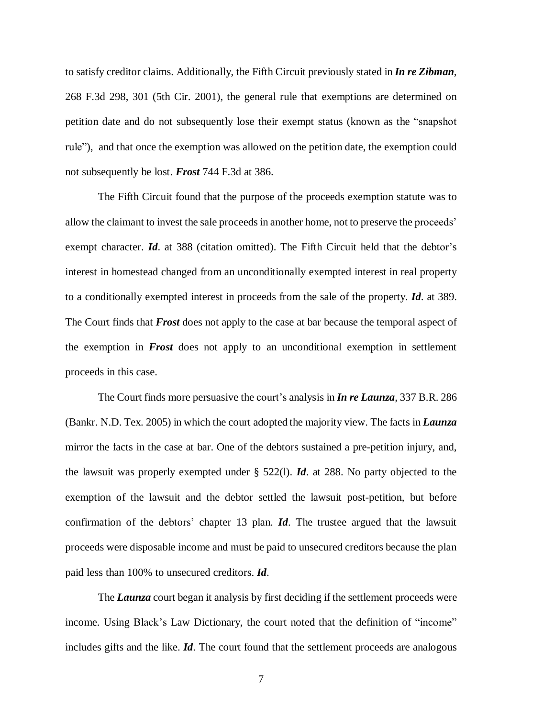to satisfy creditor claims. Additionally, the Fifth Circuit previously stated in *In re Zibman*, 268 F.3d 298, 301 (5th Cir. 2001), the general rule that exemptions are determined on petition date and do not subsequently lose their exempt status (known as the "snapshot rule"), and that once the exemption was allowed on the petition date, the exemption could not subsequently be lost. *Frost* 744 F.3d at 386.

The Fifth Circuit found that the purpose of the proceeds exemption statute was to allow the claimant to invest the sale proceeds in another home, not to preserve the proceeds' exempt character. *Id.* at 388 (citation omitted). The Fifth Circuit held that the debtor's interest in homestead changed from an unconditionally exempted interest in real property to a conditionally exempted interest in proceeds from the sale of the property. *Id*. at 389. The Court finds that *Frost* does not apply to the case at bar because the temporal aspect of the exemption in *Frost* does not apply to an unconditional exemption in settlement proceeds in this case.

The Court finds more persuasive the court's analysis in *In re Launza*, 337 B.R. 286 (Bankr. N.D. Tex. 2005) in which the court adopted the majority view. The facts in *Launza* mirror the facts in the case at bar. One of the debtors sustained a pre-petition injury, and, the lawsuit was properly exempted under § 522(l). *Id*. at 288. No party objected to the exemption of the lawsuit and the debtor settled the lawsuit post-petition, but before confirmation of the debtors' chapter 13 plan. *Id*. The trustee argued that the lawsuit proceeds were disposable income and must be paid to unsecured creditors because the plan paid less than 100% to unsecured creditors. *Id*.

The *Launza* court began it analysis by first deciding if the settlement proceeds were income. Using Black's Law Dictionary, the court noted that the definition of "income" includes gifts and the like. *Id*. The court found that the settlement proceeds are analogous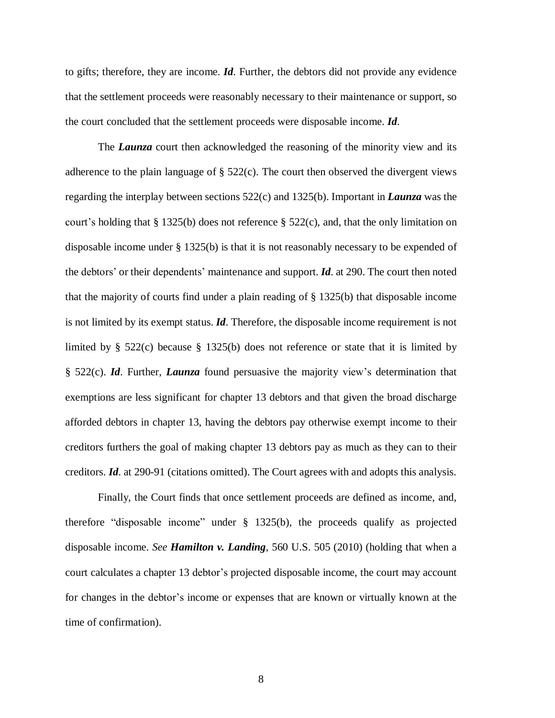to gifts; therefore, they are income. *Id*. Further, the debtors did not provide any evidence that the settlement proceeds were reasonably necessary to their maintenance or support, so the court concluded that the settlement proceeds were disposable income. *Id*.

The *Launza* court then acknowledged the reasoning of the minority view and its adherence to the plain language of  $\S$  522(c). The court then observed the divergent views regarding the interplay between sections 522(c) and 1325(b). Important in *Launza* was the court's holding that § 1325(b) does not reference § 522(c), and, that the only limitation on disposable income under § 1325(b) is that it is not reasonably necessary to be expended of the debtors' or their dependents' maintenance and support. *Id*. at 290. The court then noted that the majority of courts find under a plain reading of § 1325(b) that disposable income is not limited by its exempt status. *Id*. Therefore, the disposable income requirement is not limited by § 522(c) because § 1325(b) does not reference or state that it is limited by § 522(c). *Id*. Further, *Launza* found persuasive the majority view's determination that exemptions are less significant for chapter 13 debtors and that given the broad discharge afforded debtors in chapter 13, having the debtors pay otherwise exempt income to their creditors furthers the goal of making chapter 13 debtors pay as much as they can to their creditors. *Id*. at 290-91 (citations omitted). The Court agrees with and adopts this analysis.

Finally, the Court finds that once settlement proceeds are defined as income, and, therefore "disposable income" under § 1325(b), the proceeds qualify as projected disposable income. *See Hamilton v. Landing*, 560 U.S. 505 (2010) (holding that when a court calculates a chapter 13 debtor's projected disposable income, the court may account for changes in the debtor's income or expenses that are known or virtually known at the time of confirmation).